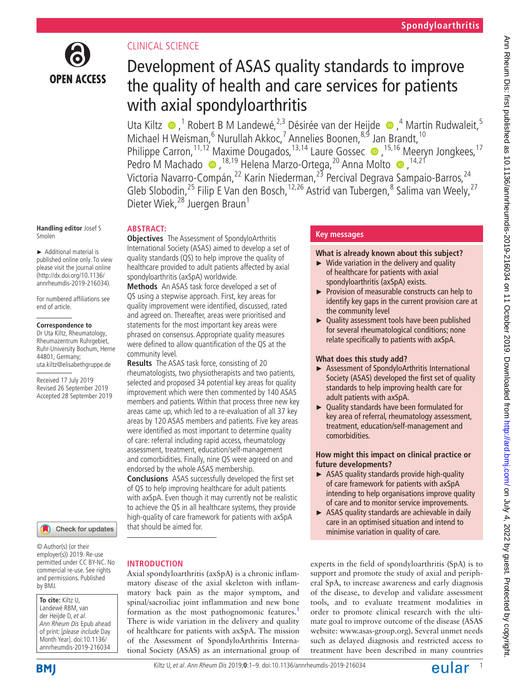

# Clinical science

# Development of ASAS quality standards to improve the quality of health and care services for patients with axial spondyloarthritis

Uta Kiltz  $\bullet$ ,<sup>1</sup> Robert B M Landewé,<sup>2,3</sup> Désirée van der Heijde  $\bullet$ ,<sup>4</sup> Martin Rudwaleit,<sup>5</sup> Michael H Weisman,<sup>6</sup> Nurullah Akkoc,<sup>7</sup> Annelies Boonen,<sup>8,9</sup> Jan Brandt,<sup>10</sup> PhilippeCarron,<sup>11,12</sup> Maxime Dougados,<sup>13,14</sup> Laure Gossec **.**<sup>15,16</sup> Meeryn Jongkees,<sup>17</sup> PedroM Machado  $\bullet$ ,  $^{18,19}$  Helena Marzo-Ortega,  $^{20}$  Anna Molto  $\bullet$ ,  $^{14,21}$ Victoria Navarro-Compán,<sup>22</sup> Karin Niederman,<sup>23</sup> Percival Degrava Sampaio-Barros,<sup>24</sup> Gleb Slobodin,<sup>25</sup> Filip E Van den Bosch,<sup>12,26</sup> Astrid van Tubergen,<sup>8</sup> Salima van Weely,<sup>27</sup> Dieter Wiek,<sup>28</sup> Juergen Braun<sup>1</sup>

#### **Handling editor** Josef S Smolen

► Additional material is published online only. To view please visit the journal online (http://dx.doi.org/10.1136/ annrheumdis-2019-216034).

For numbered affiliations see end of article.

## **Correspondence to**

Dr Uta Kiltz, Rheumatology, Rheumazentrum Ruhrgebiet, Ruhr-University Bochum, Herne 44801, Germany; uta.kiltz@elisabethgruppe.de

Received 17 July 2019 Revised 26 September 2019 Accepted 28 September 2019

#### Check for updates

© Author(s) (or their employer(s)) 2019. Re-use permitted under CC BY-NC. No commercial re-use. See rights and permissions. Published by BMJ.

#### **To cite:** Kiltz U, Landewé RBM, van der Heijde D, et al. Ann Rheum Dis Epub ahead of print: [please include Day Month Year]. doi:10.1136/ annrheumdis-2019-216034

# **Abstract:**

**Objectives** The Assessment of SpondyloArthritis International Society (ASAS) aimed to develop a set of quality standards (QS) to help improve the quality of healthcare provided to adult patients affected by axial spondyloarthritis (axSpA) worldwide.

**Methods** An ASAS task force developed a set of QS using a stepwise approach. First, key areas for quality improvement were identified, discussed, rated and agreed on. Thereafter, areas were prioritised and statements for the most important key areas were phrased on consensus. Appropriate quality measures were defined to allow quantification of the QS at the community level.

**Results** The ASAS task force, consisting of 20 rheumatologists, two physiotherapists and two patients, selected and proposed 34 potential key areas for quality improvement which were then commented by 140 ASAS members and patients. Within that process three new key areas came up, which led to a re-evaluation of all 37 key areas by 120 ASAS members and patients. Five key areas were identified as most important to determine quality of care: referral including rapid access, rheumatology assessment, treatment, education/self-management and comorbidities. Finally, nine QS were agreed on and endorsed by the whole ASAS membership.

**Conclusions** ASAS successfully developed the first set of QS to help improving healthcare for adult patients with axSpA. Even though it may currently not be realistic to achieve the QS in all healthcare systems, they provide high-quality of care framework for patients with axSpA that should be aimed for.

# **Introduction**

Axial spondyloarthritis (axSpA) is a chronic inflammatory disease of the axial skeleton with inflammatory back pain as the major symptom, and spinal/sacroiliac joint inflammation and new bone formation as the most pathognomonic features.<sup>[1](#page-8-0)</sup> There is wide variation in the delivery and quality of healthcare for patients with axSpA. The mission of the Assessment of SpondyloArthritis International Society (ASAS) as an international group of

# **Key messages**

## **What is already known about this subject?**

- $\triangleright$  Wide variation in the delivery and quality of healthcare for patients with axial spondyloarthritis (axSpA) exists.
- ► Provision of measurable constructs can help to identify key gaps in the current provision care at the community level
- ► Quality assessment tools have been published for several rheumatological conditions; none relate specifically to patients with axSpA.

## **What does this study add?**

- Assessment of SpondyloArthritis International Society (ASAS) developed the first set of quality standards to help improving health care for adult patients with axSpA.
- ► Quality standards have been formulated for key area of referral, rheumatology assessment, treatment, education/self-management and comorbidities.

## **How might this impact on clinical practice or future developments?**

- ► ASAS quality standards provide high-quality of care framework for patients with axSpA intending to help organisations improve quality of care and to monitor service improvements.
- ► ASAS quality standards are achievable in daily care in an optimised situation and intend to minimise variation in quality of care.

experts in the field of spondyloarthritis (SpA) is to support and promote the study of axial and peripheral SpA, to increase awareness and early diagnosis of the disease, to develop and validate assessment tools, and to evaluate treatment modalities in order to promote clinical research with the ultimate goal to improve outcome of the disease (ASAS website: [www.asas-group.org\)](www.asas-group.org). Several unmet needs such as delayed diagnosis and restricted access to treatment have been described in many countries

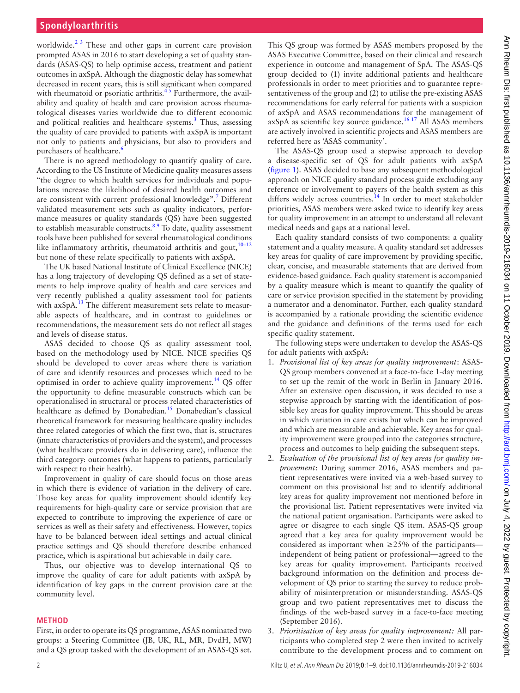worldwide. $2<sup>3</sup>$  These and other gaps in current care provision prompted ASAS in 2016 to start developing a set of quality standards (ASAS-QS) to help optimise access, treatment and patient outcomes in axSpA. Although the diagnostic delay has somewhat decreased in recent years, this is still significant when compared with rheumatoid or psoriatic arthritis.<sup>45</sup> Furthermore, the availability and quality of health and care provision across rheumatological diseases varies worldwide due to different economic and political realities and healthcare systems.<sup>[3](#page-8-3)</sup> Thus, assessing the quality of care provided to patients with axSpA is important not only to patients and physicians, but also to providers and purchasers of healthcare.<sup>6</sup>

There is no agreed methodology to quantify quality of care. According to the US Institute of Medicine quality measures assess "the degree to which health services for individuals and populations increase the likelihood of desired health outcomes and are consistent with current professional knowledge".<sup>7</sup> Different validated measurement sets such as quality indicators, performance measures or quality standards (QS) have been suggested to establish measurable constructs.<sup>89</sup> To date, quality assessment tools have been published for several rheumatological conditions like inflammatory arthritis, rheumatoid arthritis and gout,  $10-12$ but none of these relate specifically to patients with axSpA.

The UK based National Institute of Clinical Excellence (NICE) has a long trajectory of developing QS defined as a set of statements to help improve quality of health and care services and very recently published a quality assessment tool for patients with  $axSpA$ <sup>13</sup>. The different measurement sets relate to measurable aspects of healthcare, and in contrast to guidelines or recommendations, the measurement sets do not reflect all stages and levels of disease status.

ASAS decided to choose QS as quality assessment tool, based on the methodology used by NICE. NICE specifies QS should be developed to cover areas where there is variation of care and identify resources and processes which need to be optimised in order to achieve quality improvement.<sup>14</sup> QS offer the opportunity to define measurable constructs which can be operationalised in structural or process related characteristics of healthcare as defined by Donabedian.<sup>15</sup> Donabedian's classical theoretical framework for measuring healthcare quality includes three related categories of which the first two, that is, structures (innate characteristics of providers and the system), and processes (what healthcare providers do in delivering care), influence the third category: outcomes (what happens to patients, particularly with respect to their health).

Improvement in quality of care should focus on those areas in which there is evidence of variation in the delivery of care. Those key areas for quality improvement should identify key requirements for high-quality care or service provision that are expected to contribute to improving the experience of care or services as well as their safety and effectiveness. However, topics have to be balanced between ideal settings and actual clinical practice settings and QS should therefore describe enhanced practice, which is aspirational but achievable in daily care.

Thus, our objective was to develop international QS to improve the quality of care for adult patients with axSpA by identification of key gaps in the current provision care at the community level.

#### **Method**

First, in order to operate its QS programme, ASAS nominated two groups: a Steering Committee (JB, UK, RL, MR, DvdH, MW) and a QS group tasked with the development of an ASAS-QS set.

This QS group was formed by ASAS members proposed by the ASAS Executive Committee, based on their clinical and research experience in outcome and management of SpA. The ASAS-QS group decided to (1) invite additional patients and healthcare professionals in order to meet priorities and to guarantee representativeness of the group and (2) to utilise the pre-existing ASAS recommendations for early referral for patients with a suspicion of axSpA and ASAS recommendations for the management of  $axSpA$  as scientific key source guidance.<sup>16 17</sup> All ASAS members are actively involved in scientific projects and ASAS members are referred here as 'ASAS community'.

The ASAS-QS group used a stepwise approach to develop a disease-specific set of QS for adult patients with axSpA ([figure](#page-2-0) 1). ASAS decided to base any subsequent methodological approach on NICE quality standard process guide excluding any reference or involvement to payers of the health system as this differs widely across countries.<sup>[14](#page-8-9)</sup> In order to meet stakeholder priorities, ASAS members were asked twice to identify key areas for quality improvement in an attempt to understand all relevant medical needs and gaps at a national level.

Each quality standard consists of two components: a quality statement and a quality measure. A quality standard set addresses key areas for quality of care improvement by providing specific, clear, concise, and measurable statements that are derived from evidence-based guidance. Each quality statement is accompanied by a quality measure which is meant to quantify the quality of care or service provision specified in the statement by providing a numerator and a denominator. Further, each quality standard is accompanied by a rationale providing the scientific evidence and the guidance and definitions of the terms used for each specific quality statement.

The following steps were undertaken to develop the ASAS-QS for adult patients with axSpA:

- 1. *Provisional list of key areas for quality improvement*: ASAS-QS group members convened at a face-to-face 1-day meeting to set up the remit of the work in Berlin in January 2016. After an extensive open discussion, it was decided to use a stepwise approach by starting with the identification of possible key areas for quality improvement. This should be areas in which variation in care exists but which can be improved and which are measurable and achievable. Key areas for quality improvement were grouped into the categories structure, process and outcomes to help guiding the subsequent steps.
- 2. *Evaluation of the provisional list of key areas for quality improvement*: During summer 2016, ASAS members and patient representatives were invited via a web-based survey to comment on this provisional list and to identify additional key areas for quality improvement not mentioned before in the provisional list. Patient representatives were invited via the national patient organisation. Participants were asked to agree or disagree to each single QS item. ASAS-QS group agreed that a key area for quality improvement would be considered as important when  $\geq$ 25% of the participants independent of being patient or professional—agreed to the key areas for quality improvement. Participants received background information on the definition and process development of QS prior to starting the survey to reduce probability of misinterpretation or misunderstanding. ASAS-QS group and two patient representatives met to discuss the findings of the web-based survey in a face-to-face meeting (September 2016).
- 3. *Prioritisation of key areas for quality improvement:* All participants who completed step 2 were then invited to actively contribute to the development process and to comment on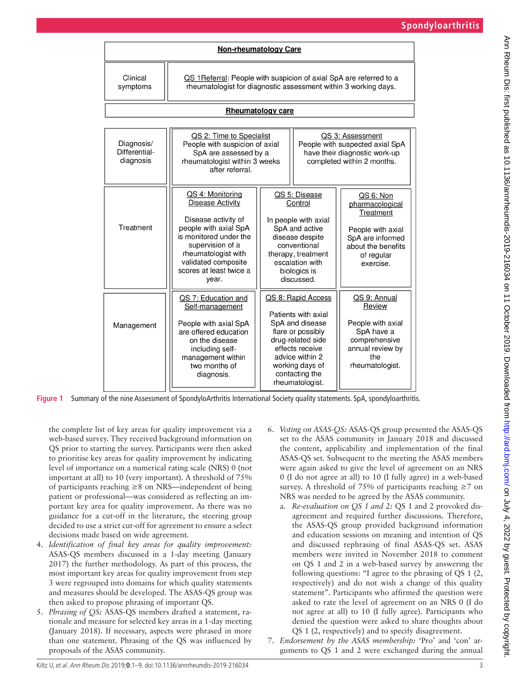| <b>Non-rheumatology Care</b>             |                                                                                                                                                                                                                      |                                                                                                                                                                                                      |  |                                                                                                                                     |  |
|------------------------------------------|----------------------------------------------------------------------------------------------------------------------------------------------------------------------------------------------------------------------|------------------------------------------------------------------------------------------------------------------------------------------------------------------------------------------------------|--|-------------------------------------------------------------------------------------------------------------------------------------|--|
| Clinical<br>symptoms                     | QS 1Referral: People with suspicion of axial SpA are referred to a<br>rheumatologist for diagnostic assessment within 3 working days.                                                                                |                                                                                                                                                                                                      |  |                                                                                                                                     |  |
|                                          |                                                                                                                                                                                                                      | <b>Rheumatology care</b>                                                                                                                                                                             |  |                                                                                                                                     |  |
| Diagnosis/<br>Differential-<br>diagnosis | QS 2: Time to Specialist<br>People with suspicion of axial<br>SpA are assessed by a<br>rheumatologist within 3 weeks<br>after referral.                                                                              |                                                                                                                                                                                                      |  | QS 3: Assessment<br>People with suspected axial SpA<br>have their diagnostic work-up<br>completed within 2 months.                  |  |
| Treatment                                | QS 4: Monitoring<br>Disease Activity<br>Disease activity of<br>people with axial SpA<br>is monitored under the<br>supervision of a<br>rheumatologist with<br>validated composite<br>scores at least twice a<br>year. | QS 5: Disease<br>Control<br>In people with axial<br>SpA and active<br>disease despite<br>conventional<br>therapy, treatment<br>escalation with<br>biologics is<br>discussed.                         |  | QS 6: Non<br>pharmacological<br>Treatment<br>People with axial<br>SpA are informed<br>about the benefits<br>of regular<br>exercise. |  |
| Management                               | QS 7: Education and<br>Self-management<br>People with axial SpA<br>are offered education<br>on the disease<br>including self-<br>management within<br>two months of<br>diagnosis.                                    | QS 8: Rapid Access<br>Patients with axial<br>SpA and disease<br>flare or possibly<br>drug-related side<br>effects receive<br>advice within 2<br>working days of<br>contacting the<br>rheumatologist. |  | QS 9: Annual<br>Review<br>People with axial<br>SpA have a<br>comprehensive<br>annual review by<br>the<br>rheumatologist.            |  |

**Figure 1** Summary of the nine Assessment of SpondyloArthritis International Society quality statements. SpA, spondyloarthritis.

the complete list of key areas for quality improvement via a web-based survey. They received background information on QS prior to starting the survey. Participants were then asked to prioritise key areas for quality improvement by indicating level of importance on a numerical rating scale (NRS) 0 (not important at all) to 10 (very important). A threshold of 75% of participants reaching ≥8 on NRS—independent of being patient or professional—was considered as reflecting an important key area for quality improvement. As there was no guidance for a cut-off in the literature, the steering group decided to use a strict cut-off for agreement to ensure a select decisions made based on wide agreement.

- 4. *Identification of final key areas for quality improvement:* ASAS-QS members discussed in a 1-day meeting (January 2017) the further methodology. As part of this process, the most important key areas for quality improvement from step 3 were regrouped into domains for which quality statements and measures should be developed. The ASAS-QS group was then asked to propose phrasing of important QS.
- 5. *Phrasing of QS:* ASAS-QS members drafted a statement, rationale and measure for selected key areas in a 1-day meeting (January 2018). If necessary, aspects were phrased in more than one statement. Phrasing of the QS was influenced by proposals of the ASAS community.
- <span id="page-2-0"></span>6. *Voting on ASAS-QS:* ASAS-QS group presented the ASAS-QS set to the ASAS community in January 2018 and discussed the content, applicability and implementation of the final ASAS-QS set. Subsequent to the meeting the ASAS members were again asked to give the level of agreement on an NRS 0 (I do not agree at all) to 10 (I fully agree) in a web-based survey. A threshold of 75% of participants reaching  $\geq 7$  on NRS was needed to be agreed by the ASAS community.
	- a. *Re-evaluation on QS 1 and 2:* QS 1 and 2 provoked disagreement and required further discussions. Therefore, the ASAS-QS group provided background information and education sessions on meaning and intention of QS and discussed rephrasing of final ASAS-QS set. ASAS members were invited in November 2018 to comment on QS 1 and 2 in a web-based survey by answering the following questions: "I agree to the phrasing of QS 1 (2, respectively) and do not wish a change of this quality statement". Participants who affirmed the question were asked to rate the level of agreement on an NRS 0 (I do not agree at all) to 10 (I fully agree). Participants who denied the question were asked to share thoughts about QS 1 (2, respectively) and to specify disagreement.
- 7. *Endorsement by the ASAS membership:* 'Pro' and 'con' arguments to QS 1 and 2 were exchanged during the annual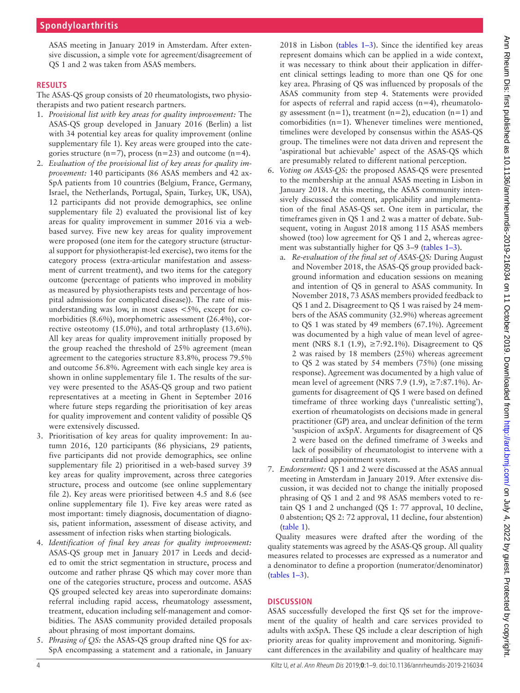ASAS meeting in January 2019 in Amsterdam. After extensive discussion, a simple vote for agreement/disagreement of QS 1 and 2 was taken from ASAS members.

## **Results**

The ASAS-QS group consists of 20 rheumatologists, two physiotherapists and two patient research partners.

- 1. *Provisional list with key areas for quality improvement:* The ASAS-QS group developed in January 2016 (Berlin) a list with 34 potential key areas for quality improvement [\(online](https://dx.doi.org/10.1136/annrheumdis-2019-216034)  [supplementary file 1\)](https://dx.doi.org/10.1136/annrheumdis-2019-216034). Key areas were grouped into the categories structure  $(n=7)$ , process  $(n=23)$  and outcome  $(n=4)$ .
- 2. *Evaluation of the provisional list of key areas for quality improvement:* 140 participants (86 ASAS members and 42 ax-SpA patients from 10 countries (Belgium, France, Germany, Israel, the Netherlands, Portugal, Spain, Turkey, UK, USA), 12 participants did not provide demographics, see [online](https://dx.doi.org/10.1136/annrheumdis-2019-216034)  [supplementary file 2\)](https://dx.doi.org/10.1136/annrheumdis-2019-216034) evaluated the provisional list of key areas for quality improvement in summer 2016 via a webbased survey. Five new key areas for quality improvement were proposed (one item for the category structure (structural support for physiotherapist-led exercise), two items for the category process (extra-articular manifestation and assessment of current treatment), and two items for the category outcome (percentage of patients who improved in mobility as measured by physiotherapists tests and percentage of hospital admissions for complicated disease)). The rate of misunderstanding was low, in most cases  $\langle 5\%,$  except for comorbidities (8.6%), morphometric assessment (26.4%), corrective osteotomy (15.0%), and total arthroplasty (13.6%). All key areas for quality improvement initially proposed by the group reached the threshold of 25% agreement (mean agreement to the categories structure 83.8%, process 79.5% and outcome 56.8%. Agreement with each single key area is shown in [online supplementary file 1](https://dx.doi.org/10.1136/annrheumdis-2019-216034). The results of the survey were presented to the ASAS-QS group and two patient representatives at a meeting in Ghent in September 2016 where future steps regarding the prioritisation of key areas for quality improvement and content validity of possible QS were extensively discussed.
- 3. Prioritisation of key areas for quality improvement: In autumn 2016, 120 participants (86 physicians, 29 patients, five participants did not provide demographics, see [online](https://dx.doi.org/10.1136/annrheumdis-2019-216034)  [supplementary file 2](https://dx.doi.org/10.1136/annrheumdis-2019-216034)) prioritised in a web-based survey 39 key areas for quality improvement, across three categories structure, process and outcome (see [online supplementary](https://dx.doi.org/10.1136/annrheumdis-2019-216034)  [file 2](https://dx.doi.org/10.1136/annrheumdis-2019-216034)). Key areas were prioritised between 4.5 and 8.6 (see [online supplementary file 1](https://dx.doi.org/10.1136/annrheumdis-2019-216034)). Five key areas were rated as most important: timely diagnosis, documentation of diagnosis, patient information, assessment of disease activity, and assessment of infection risks when starting biologicals.
- 4. *Identification of final key areas for quality improvement:* ASAS-QS group met in January 2017 in Leeds and decided to omit the strict segmentation in structure, process and outcome and rather phrase QS which may cover more than one of the categories structure, process and outcome. ASAS QS grouped selected key areas into superordinate domains: referral including rapid access, rheumatology assessment, treatment, education including self-management and comorbidities. The ASAS community provided detailed proposals about phrasing of most important domains.
- 5. *Phrasing of QS:* the ASAS-QS group drafted nine QS for ax-SpA encompassing a statement and a rationale, in January

2018 in Lisbon ([tables](#page-4-0) 1–3). Since the identified key areas represent domains which can be applied in a wide context, it was necessary to think about their application in different clinical settings leading to more than one QS for one key area. Phrasing of QS was influenced by proposals of the ASAS community from step 4. Statements were provided for aspects of referral and rapid access  $(n=4)$ , rheumatology assessment ( $n=1$ ), treatment ( $n=2$ ), education ( $n=1$ ) and comorbidities (n=1). Whenever timelines were mentioned, timelines were developed by consensus within the ASAS-QS group. The timelines were not data driven and represent the 'aspirational but achievable' aspect of the ASAS-QS which are presumably related to different national perception.

- 6. *Voting on ASAS-QS:* the proposed ASAS-QS were presented to the membership at the annual ASAS meeting in Lisbon in January 2018. At this meeting, the ASAS community intensively discussed the content, applicability and implementation of the final ASAS-QS set. One item in particular, the timeframes given in QS 1 and 2 was a matter of debate. Subsequent, voting in August 2018 among 115 ASAS members showed (too) low agreement for QS 1 and 2, whereas agreement was substantially higher for QS 3–9 [\(tables](#page-4-0) 1–3).
	- a. *Re-evaluation of the final set of ASAS-QS:* During August and November 2018, the ASAS-QS group provided background information and education sessions on meaning and intention of QS in general to ASAS community. In November 2018, 73 ASAS members provided feedback to QS 1 and 2. Disagreement to QS 1 was raised by 24 members of the ASAS community (32.9%) whereas agreement to QS 1 was stated by 49 members (67.1%). Agreement was documented by a high value of mean level of agreement (NRS 8.1 (1.9),  $\geq$ 7:92.1%). Disagreement to QS 2 was raised by 18 members (25%) whereas agreement to QS 2 was stated by 54 members (75%) (one missing response). Agreement was documented by a high value of mean level of agreement (NRS 7.9 (1.9),  $\geq$ 7:87.1%). Arguments for disagreement of QS 1 were based on defined timeframe of three working days ('unrealistic setting'), exertion of rheumatologists on decisions made in general practitioner (GP) area, and unclear definition of the term 'suspicion of axSpA'. Arguments for disagreement of QS 2 were based on the defined timeframe of 3weeks and lack of possibility of rheumatologist to intervene with a centralised appointment system.
- 7. *Endorsement:* QS 1 and 2 were discussed at the ASAS annual meeting in Amsterdam in January 2019. After extensive discussion, it was decided not to change the initially proposed phrasing of QS 1 and 2 and 98 ASAS members voted to retain QS 1 and 2 unchanged (QS 1: 77 approval, 10 decline, 0 abstention; QS 2: 72 approval, 11 decline, four abstention) ([table](#page-4-0) 1).

Quality measures were drafted after the wording of the quality statements was agreed by the ASAS-QS group. All quality measures related to processes are expressed as a numerator and a denominator to define a proportion (numerator/denominator) ([tables](#page-4-0) 1–3).

#### **Discussion**

ASAS successfully developed the first QS set for the improvement of the quality of health and care services provided to adults with axSpA. These QS include a clear description of high priority areas for quality improvement and monitoring. Significant differences in the availability and quality of healthcare may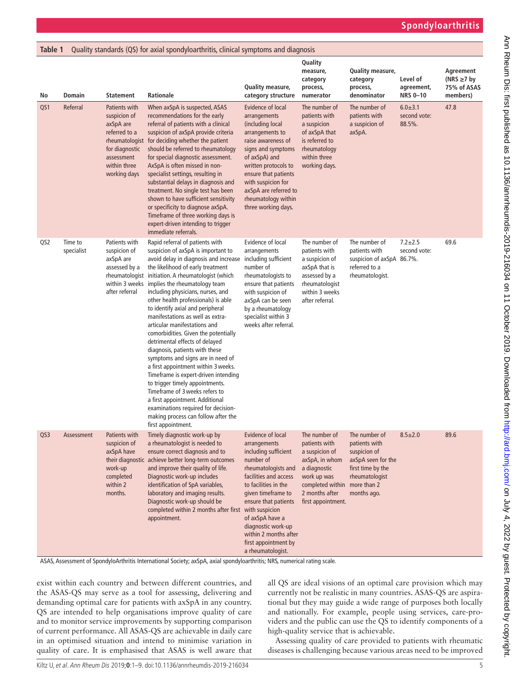**Spondyloarthritis**

<span id="page-4-0"></span>

| Table 1<br>Quality standards (QS) for axial spondyloarthritis, clinical symptoms and diagnosis |                       |                                                                                                                                               |                                                                                                                                                                                                                                                                                                                                                                                                                                                                                                                                                                                                                                                                                                                                                                                                                                                             |                                                                                                                                                                                                                                                                                                                    |                                                                                                                                                                           |                                                                                                                            |                                           |                                                          |
|------------------------------------------------------------------------------------------------|-----------------------|-----------------------------------------------------------------------------------------------------------------------------------------------|-------------------------------------------------------------------------------------------------------------------------------------------------------------------------------------------------------------------------------------------------------------------------------------------------------------------------------------------------------------------------------------------------------------------------------------------------------------------------------------------------------------------------------------------------------------------------------------------------------------------------------------------------------------------------------------------------------------------------------------------------------------------------------------------------------------------------------------------------------------|--------------------------------------------------------------------------------------------------------------------------------------------------------------------------------------------------------------------------------------------------------------------------------------------------------------------|---------------------------------------------------------------------------------------------------------------------------------------------------------------------------|----------------------------------------------------------------------------------------------------------------------------|-------------------------------------------|----------------------------------------------------------|
| No                                                                                             | Domain                | Statement                                                                                                                                     | Rationale                                                                                                                                                                                                                                                                                                                                                                                                                                                                                                                                                                                                                                                                                                                                                                                                                                                   | <b>Quality measure,</b><br>category structure                                                                                                                                                                                                                                                                      | Quality<br>measure,<br>category<br>process,<br>numerator                                                                                                                  | <b>Quality measure,</b><br>category<br>process,<br>denominator                                                             | Level of<br>agreement,<br><b>NRS 0-10</b> | Agreement<br>(NRS $\geq$ 7 by<br>75% of ASAS<br>members) |
| QS1                                                                                            | Referral              | Patients with<br>suspicion of<br>axSpA are<br>referred to a<br>rheumatologist<br>for diagnostic<br>assessment<br>within three<br>working days | When axSpA is suspected, ASAS<br>recommendations for the early<br>referral of patients with a clinical<br>suspicion of axSpA provide criteria<br>for deciding whether the patient<br>should be referred to rheumatology<br>for special diagnostic assessment.<br>AxSpA is often missed in non-<br>specialist settings, resulting in<br>substantial delays in diagnosis and<br>treatment. No single test has been<br>shown to have sufficient sensitivity<br>or specificity to diagnose axSpA.<br>Timeframe of three working days is<br>expert-driven intending to trigger<br>immediate referrals.                                                                                                                                                                                                                                                           | <b>Evidence of local</b><br>arrangements<br>(including local<br>arrangements to<br>raise awareness of<br>signs and symptoms<br>of axSpA) and<br>written protocols to<br>ensure that patients<br>with suspicion for<br>axSpA are referred to<br>rheumatology within<br>three working days.                          | The number of<br>patients with<br>a suspicion<br>of axSpA that<br>is referred to<br>rheumatology<br>within three<br>working days.                                         | The number of<br>patients with<br>a suspicion of<br>axSpA.                                                                 | $6.0 \pm 3.1$<br>second vote:<br>88.5%.   | 47.8                                                     |
| QS2                                                                                            | Time to<br>specialist | Patients with<br>suspicion of<br>axSpA are<br>assessed by a<br>rheumatologist<br>within 3 weeks<br>after referral                             | Rapid referral of patients with<br>suspicion of axSpA is important to<br>avoid delay in diagnosis and increase<br>the likelihood of early treatment<br>initiation. A rheumatologist (which<br>implies the rheumatology team<br>including physicians, nurses, and<br>other health professionals) is able<br>to identify axial and peripheral<br>manifestations as well as extra-<br>articular manifestations and<br>comorbidities. Given the potentially<br>detrimental effects of delayed<br>diagnosis, patients with these<br>symptoms and signs are in need of<br>a first appointment within 3 weeks.<br>Timeframe is expert-driven intending<br>to trigger timely appointments.<br>Timeframe of 3 weeks refers to<br>a first appointment. Additional<br>examinations required for decision-<br>making process can follow after the<br>first appointment. | Evidence of local<br>arrangements<br>including sufficient<br>number of<br>rheumatologists to<br>ensure that patients<br>with suspicion of<br>axSpA can be seen<br>by a rheumatology<br>specialist within 3<br>weeks after referral.                                                                                | The number of<br>patients with<br>a suspicion of<br>axSpA that is<br>assessed by a<br>rheumatologist<br>within 3 weeks<br>after referral.                                 | The number of<br>patients with<br>suspicion of axSpA 86.7%.<br>referred to a<br>rheumatologist.                            | $7.2 + 2.5$<br>second vote:               | 69.6                                                     |
| QS <sub>3</sub>                                                                                | Assessment            | Patients with<br>suspicion of<br>axSpA have<br>work-up<br>completed<br>within 2<br>months.                                                    | Timely diagnostic work-up by<br>a rheumatologist is needed to<br>ensure correct diagnosis and to<br>their diagnostic achieve better long-term outcomes<br>and improve their quality of life.<br>Diagnostic work-up includes<br>identification of SpA variables,<br>laboratory and imaging results.<br>Diagnostic work-up should be<br>completed within 2 months after first with suspicion<br>appointment.                                                                                                                                                                                                                                                                                                                                                                                                                                                  | <b>Evidence of local</b><br>arrangements<br>including sufficient<br>number of<br>rheumatologists and<br>facilities and access<br>to facilities in the<br>given timeframe to<br>ensure that patients<br>of axSpA have a<br>diagnostic work-up<br>within 2 months after<br>first appointment by<br>a rheumatologist. | The number of<br>patients with<br>a suspicion of<br>axSpA, in whom<br>a diagnostic<br>work up was<br>completed within more than 2<br>2 months after<br>first appointment. | The number of<br>patients with<br>suspicion of<br>axSpA seen for the<br>first time by the<br>rheumatologist<br>months ago. | $8.5 \pm 2.0$                             | 89.6                                                     |

ASAS, Assessment of SpondyloArthritis International Society; axSpA, axial spondyloarthritis; NRS, numerical rating scale.

exist within each country and between different countries, and the ASAS-QS may serve as a tool for assessing, delivering and demanding optimal care for patients with axSpA in any country. QS are intended to help organisations improve quality of care and to monitor service improvements by supporting comparison of current performance. All ASAS-QS are achievable in daily care in an optimised situation and intend to minimise variation in quality of care. It is emphasised that ASAS is well aware that

all QS are ideal visions of an optimal care provision which may currently not be realistic in many countries. ASAS-QS are aspirational but they may guide a wide range of purposes both locally and nationally. For example, people using services, care-providers and the public can use the QS to identify components of a high-quality service that is achievable.

Assessing quality of care provided to patients with rheumatic diseases is challenging because various areas need to be improved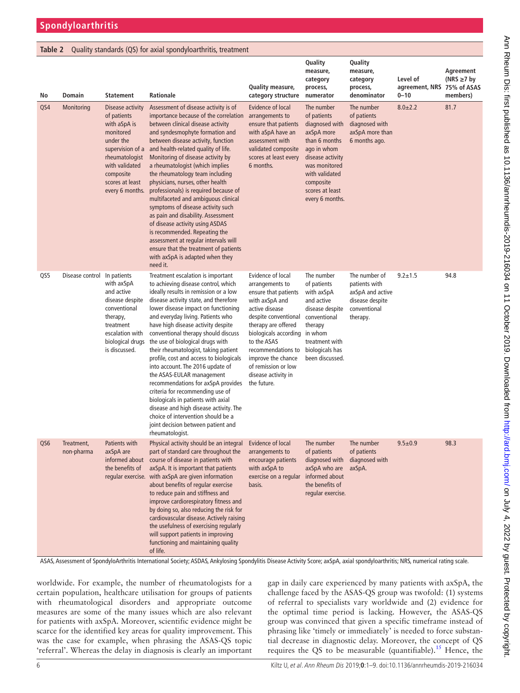### **Table 2** Quality standards (QS) for axial spondyloarthritis, treatment

| No  | Domain                   | <b>Statement</b>                                                                                                                                                                     | Rationale                                                                                                                                                                                                                                                                                                                                                                                                                                                                                                                                                                                                                                                                                                                                                            | Quality measure,<br>category structure                                                                                                                                                                                                                                                                          | Quality<br>measure,<br>category<br>process,<br>numerator                                                                                                                                            | Quality<br>measure,<br>category<br>process,<br>denominator                                        | Level of<br>agreement, NRS 75% of ASAS<br>$0 - 10$ | Agreement<br>(NRS $\geq$ 7 by<br>members) |
|-----|--------------------------|--------------------------------------------------------------------------------------------------------------------------------------------------------------------------------------|----------------------------------------------------------------------------------------------------------------------------------------------------------------------------------------------------------------------------------------------------------------------------------------------------------------------------------------------------------------------------------------------------------------------------------------------------------------------------------------------------------------------------------------------------------------------------------------------------------------------------------------------------------------------------------------------------------------------------------------------------------------------|-----------------------------------------------------------------------------------------------------------------------------------------------------------------------------------------------------------------------------------------------------------------------------------------------------------------|-----------------------------------------------------------------------------------------------------------------------------------------------------------------------------------------------------|---------------------------------------------------------------------------------------------------|----------------------------------------------------|-------------------------------------------|
| QS4 | Monitoring               | Disease activity<br>of patients<br>with aSpA is<br>monitored<br>under the<br>supervision of a<br>rheumatologist<br>with validated<br>composite<br>scores at least<br>every 6 months. | Assessment of disease activity is of<br>importance because of the correlation<br>between clinical disease activity<br>and syndesmophyte formation and<br>between disease activity, function<br>and health-related quality of life.<br>Monitoring of disease activity by<br>a rheumatologist (which implies<br>the rheumatology team including<br>physicians, nurses, other health<br>professionals) is required because of<br>multifaceted and ambiguous clinical<br>symptoms of disease activity such<br>as pain and disability. Assessment<br>of disease activity using ASDAS<br>is recommended. Repeating the<br>assessment at regular intervals will<br>ensure that the treatment of patients<br>with axSpA is adapted when they<br>need it.                     | Evidence of local<br>arrangements to<br>ensure that patients<br>with aSpA have an<br>assessment with<br>validated composite<br>scores at least every<br>6 months.                                                                                                                                               | The number<br>of patients<br>diagnosed with<br>axSpA more<br>than 6 months<br>ago in whom<br>disease activity<br>was monitored<br>with validated<br>composite<br>scores at least<br>every 6 months. | The number<br>of patients<br>diagnosed with<br>axSpA more than<br>6 months ago.                   | $8.0 + 2.2$                                        | 81.7                                      |
| QS5 | Disease control          | In patients<br>with axSpA<br>and active<br>disease despite<br>conventional<br>therapy,<br>treatment<br>escalation with<br>biological drugs<br>is discussed.                          | Treatment escalation is important<br>to achieving disease control, which<br>ideally results in remission or a low<br>disease activity state, and therefore<br>lower disease impact on functioning<br>and everyday living. Patients who<br>have high disease activity despite<br>conventional therapy should discuss<br>the use of biological drugs with<br>their rheumatologist, taking patient<br>profile, cost and access to biologicals<br>into account. The 2016 update of<br>the ASAS-EULAR management<br>recommendations for axSpA provides<br>criteria for recommending use of<br>biologicals in patients with axial<br>disease and high disease activity. The<br>choice of intervention should be a<br>joint decision between patient and<br>rheumatologist. | <b>Evidence of local</b><br>arrangements to<br>ensure that patients<br>with axSpA and<br>active disease<br>despite conventional<br>therapy are offered<br>biologicals according in whom<br>to the ASAS<br>recommendations to<br>improve the chance<br>of remission or low<br>disease activity in<br>the future. | The number<br>of patients<br>with axSpA<br>and active<br>disease despite<br>conventional<br>therapy<br>treatment with<br>biologicals has<br>been discussed.                                         | The number of<br>patients with<br>axSpA and active<br>disease despite<br>conventional<br>therapy. | $9.2 \pm 1.5$                                      | 94.8                                      |
| QS6 | Treatment,<br>non-pharma | Patients with<br>axSpA are<br>the benefits of                                                                                                                                        | Physical activity should be an integral Evidence of local<br>part of standard care throughout the arrangements to<br>informed about course of disease in patients with<br>axSpA. It is important that patients<br>regular exercise. with axSpA are given information<br>about benefits of regular exercise<br>to reduce pain and stiffness and<br>improve cardiorespiratory fitness and<br>by doing so, also reducing the risk for<br>cardiovascular disease. Actively raising<br>the usefulness of exercising regularly<br>will support patients in improving<br>functioning and maintaining quality<br>of life.                                                                                                                                                    | encourage patients<br>with axSpA to<br>exercise on a regular informed about<br>basis.                                                                                                                                                                                                                           | The number<br>of patients<br>diagnosed with diagnosed with<br>axSpA who are<br>the benefits of<br>regular exercise.                                                                                 | The number<br>of patients<br>axSpA.                                                               | $9.5 + 0.9$                                        | 98.3                                      |

ASAS, Assessment of SpondyloArthritis International Society; ASDAS, Ankylosing Spondylitis Disease Activity Score; axSpA, axial spondyloarthritis; NRS, numerical rating scale.

worldwide. For example, the number of rheumatologists for a certain population, healthcare utilisation for groups of patients with rheumatological disorders and appropriate outcome measures are some of the many issues which are also relevant for patients with axSpA. Moreover, scientific evidence might be scarce for the identified key areas for quality improvement. This was the case for example, when phrasing the ASAS-QS topic 'referral'. Whereas the delay in diagnosis is clearly an important

gap in daily care experienced by many patients with axSpA, the challenge faced by the ASAS-QS group was twofold: (1) systems of referral to specialists vary worldwide and (2) evidence for the optimal time period is lacking. However, the ASAS-QS group was convinced that given a specific timeframe instead of phrasing like 'timely or immediately' is needed to force substantial decrease in diagnostic delay. Moreover, the concept of QS requires the QS to be measurable (quantifiable).<sup>15</sup> Hence, the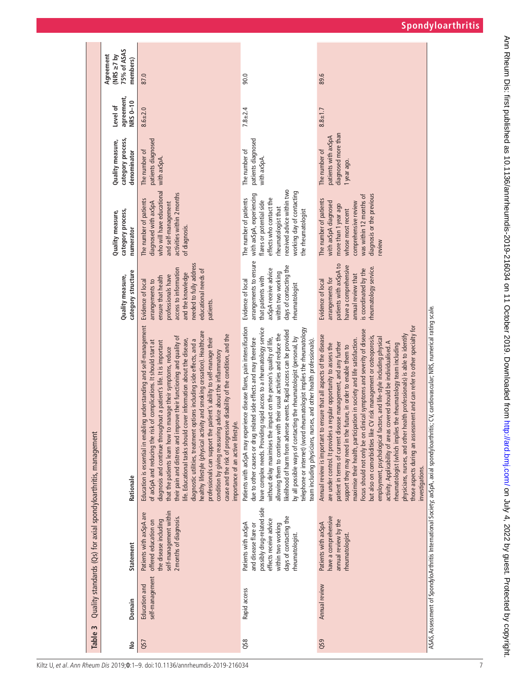|                                                                | 75% of ASAS<br>Agreement<br>(NRS $\geq$ 7 by<br>nembers) | 87.0                                                                                                                                                                                                                                                                                                                                                                                                                                                                                                                                                                                                                                                                                                                                                                                                                                          | 90.0                                                                                                                                                                                                                                                                                                                                                                                                                                                                                                                                                                                                                                                              | 89.6                                                                                                                                                                                                                                                                                                                                                                                                                                                                                                                                                                                                                                                                                                                                                                                                                                                                                                |                                                                                                                                               |
|----------------------------------------------------------------|----------------------------------------------------------|-----------------------------------------------------------------------------------------------------------------------------------------------------------------------------------------------------------------------------------------------------------------------------------------------------------------------------------------------------------------------------------------------------------------------------------------------------------------------------------------------------------------------------------------------------------------------------------------------------------------------------------------------------------------------------------------------------------------------------------------------------------------------------------------------------------------------------------------------|-------------------------------------------------------------------------------------------------------------------------------------------------------------------------------------------------------------------------------------------------------------------------------------------------------------------------------------------------------------------------------------------------------------------------------------------------------------------------------------------------------------------------------------------------------------------------------------------------------------------------------------------------------------------|-----------------------------------------------------------------------------------------------------------------------------------------------------------------------------------------------------------------------------------------------------------------------------------------------------------------------------------------------------------------------------------------------------------------------------------------------------------------------------------------------------------------------------------------------------------------------------------------------------------------------------------------------------------------------------------------------------------------------------------------------------------------------------------------------------------------------------------------------------------------------------------------------------|-----------------------------------------------------------------------------------------------------------------------------------------------|
|                                                                | agreement,<br><b>NRS 0-10</b><br>Level of                | $8.6 + 2.0$                                                                                                                                                                                                                                                                                                                                                                                                                                                                                                                                                                                                                                                                                                                                                                                                                                   | $7.8 + 2.4$                                                                                                                                                                                                                                                                                                                                                                                                                                                                                                                                                                                                                                                       | $8.8 + 1.7$                                                                                                                                                                                                                                                                                                                                                                                                                                                                                                                                                                                                                                                                                                                                                                                                                                                                                         |                                                                                                                                               |
|                                                                | category process,<br>Quality measure,<br>denominator     | patients diagnosed<br>The number of<br>with axSpA                                                                                                                                                                                                                                                                                                                                                                                                                                                                                                                                                                                                                                                                                                                                                                                             | patients diagnosed<br>The number of<br>with axSpA                                                                                                                                                                                                                                                                                                                                                                                                                                                                                                                                                                                                                 | diagnosed more than<br>patients with axSpA<br>The number of<br>I year ago.                                                                                                                                                                                                                                                                                                                                                                                                                                                                                                                                                                                                                                                                                                                                                                                                                          |                                                                                                                                               |
| Quality standards (Qs) for axial spondyloarthritis, management | category process,<br>Quality measure,<br>numerator       | who will have educational<br>activities within 2 months<br>The number of patients<br>diagnosed with axSpA<br>and self-management<br>of diagnosis.                                                                                                                                                                                                                                                                                                                                                                                                                                                                                                                                                                                                                                                                                             | received advice within two<br>working day of contacting<br>with axSpA, experiencing<br>effects who contact the<br>The number of patients<br>flares or potential side<br>rheumatologist that<br>the rheumatologist                                                                                                                                                                                                                                                                                                                                                                                                                                                 | diagnosis or the previous<br>was within 12 months of<br>The number of patients<br>with axSpA diagnosed<br>comprehensive review<br>more than 1 year ago<br>whose most recent<br>review                                                                                                                                                                                                                                                                                                                                                                                                                                                                                                                                                                                                                                                                                                               |                                                                                                                                               |
|                                                                | category structure<br>Quality measure,                   | needed to fully address<br>access to information<br>educational needs of<br>and the knowledge<br>professionals have<br>ensure that health<br>Evidence of local<br>arrangements to<br>patients.                                                                                                                                                                                                                                                                                                                                                                                                                                                                                                                                                                                                                                                | arrangements to ensure<br>days of contacting the<br>axSpA receive advice<br>within two working<br>that patients with<br>Evidence of local<br>theumatologist                                                                                                                                                                                                                                                                                                                                                                                                                                                                                                       | patients with axSpA to<br>have a comprehensive<br>rheumatology service.<br>is coordinated by the<br>annual review that<br>arrangements for<br>Evidence of local                                                                                                                                                                                                                                                                                                                                                                                                                                                                                                                                                                                                                                                                                                                                     |                                                                                                                                               |
|                                                                | Rationale                                                | Education is essential in enabling understanding and self-management<br>healthy lifestyle (physical activity and smoking cessation). Healthcare<br>cause and the risk of progressive disability of the condition, and the<br>their pain and distress and improve their functioning and quality of<br>professionals can support the patient's ability to self-manage their<br>life. Educational tasks should cover information about the disease,<br>diagnostic utilities, treatment options including side effects, and a<br>of axSpA and reducing the risk of complications. It should start at<br>diagnosis and continue throughout a patient's life. It is important<br>that the patients learn how to manage their symptoms, reduce<br>condition by giving reassuring advice about the inflammatory<br>importance of an active lifestyle. | Patients with axSpA may experience disease flares, pain intensification<br>have complex needs. Providing rapid access to a rheumatology service<br>telephone or internet) (word rheumatologist implies the rheumatology<br>likelihood of harm from adverse events. Rapid access can be provided<br>allowing them to continue with their usual activities and reduce the<br>without delay maximises the impact on the person's quality of life,<br>due to other causes or drug related side effects and may therefore<br>by all possible ways of contacting the rheumatologist (personal, by<br>team including physicians, nurses, and other health professionals) | those aspects during an assessment and can refer to other specialty for<br>Focus should not only be on clinical symptoms and severity of disease<br>physicians, nurses, and other health professionals) is able to identify<br>Annual review is important to ensure that all aspects of the disease<br>but also on comorbidities like CV risk management or osteoporosis,<br>employment, psychological factors, and life-style including physical<br>maximise their health, participation in society and life satisfaction.<br>activity. Applicability of areas covered should be individualised. A<br>patient in terms of current disease management, and any further<br>are under control. It provides a regular opportunity to assess the<br>rheumatologist (which implies the rheumatology team including<br>support they may need in the future, in order to enable them to<br>investigations. | ASAS, Assessment of SpondyloArthritis International Society; axSpA, axial spondyloarthritis; CV, cardiovascular; NRS, numerical rating scale. |
|                                                                | Statement                                                | self-management within<br>Patients with axSpA are<br>2 months of diagnosis.<br>offered education on<br>the disease including                                                                                                                                                                                                                                                                                                                                                                                                                                                                                                                                                                                                                                                                                                                  | possibly drug-related side<br>days of contacting the<br>effects receive advice<br>Patients with axSpA<br>within two working<br>and disease flare or<br>rheumatologist                                                                                                                                                                                                                                                                                                                                                                                                                                                                                             | have a comprehensive<br>annual review by the<br>Patients with axSpA<br>rheumatologist.                                                                                                                                                                                                                                                                                                                                                                                                                                                                                                                                                                                                                                                                                                                                                                                                              |                                                                                                                                               |
|                                                                | Domain                                                   | self-management<br>Education and                                                                                                                                                                                                                                                                                                                                                                                                                                                                                                                                                                                                                                                                                                                                                                                                              | Rapid access                                                                                                                                                                                                                                                                                                                                                                                                                                                                                                                                                                                                                                                      | Annual review                                                                                                                                                                                                                                                                                                                                                                                                                                                                                                                                                                                                                                                                                                                                                                                                                                                                                       |                                                                                                                                               |
| Table 3                                                        | å                                                        | Q <sub>S</sub>                                                                                                                                                                                                                                                                                                                                                                                                                                                                                                                                                                                                                                                                                                                                                                                                                                | Q <sub>S</sub> <sup>8</sup>                                                                                                                                                                                                                                                                                                                                                                                                                                                                                                                                                                                                                                       | Q <sub>S</sub> g                                                                                                                                                                                                                                                                                                                                                                                                                                                                                                                                                                                                                                                                                                                                                                                                                                                                                    |                                                                                                                                               |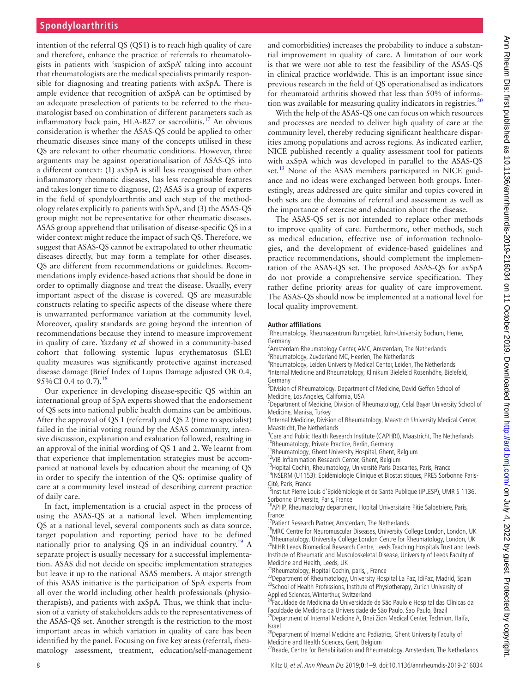## **Spondyloarthritis**

intention of the referral QS (QS1) is to reach high quality of care and therefore, enhance the practice of referrals to rheumatologists in patients with 'suspicion of axSpA' taking into account that rheumatologists are the medical specialists primarily responsible for diagnosing and treating patients with axSpA. There is ample evidence that recognition of axSpA can be optimised by an adequate preselection of patients to be referred to the rheumatologist based on combination of different parameters such as inflammatory back pain, HLA-B27 or sacroiliitis.<sup>[17](#page-8-12)</sup> An obvious consideration is whether the ASAS-QS could be applied to other rheumatic diseases since many of the concepts utilised in these QS are relevant to other rheumatic conditions. However, three arguments may be against operationalisation of ASAS-QS into a different context: (1) axSpA is still less recognised than other inflammatory rheumatic diseases, has less recognisable features and takes longer time to diagnose, (2) ASAS is a group of experts in the field of spondyloarthritis and each step of the methodology relates explicitly to patients with SpA, and (3) the ASAS-QS group might not be representative for other rheumatic diseases. ASAS group apprehend that utilisation of disease-specific QS in a wider context might reduce the impact of such QS. Therefore, we suggest that ASAS-QS cannot be extrapolated to other rheumatic diseases directly, but may form a template for other diseases. QS are different from recommendations or guidelines. Recommendations imply evidence-based actions that should be done in order to optimally diagnose and treat the disease. Usually, every important aspect of the disease is covered. QS are measurable constructs relating to specific aspects of the disease where there is unwarranted performance variation at the community level. Moreover, quality standards are going beyond the intention of recommendations because they intend to measure improvement in quality of care. Yazdany *et al* showed in a community-based cohort that following systemic lupus erythematosus (SLE) quality measures was significantly protective against increased disease damage (Brief Index of Lupus Damage adjusted OR 0.4, 95% CI 0.4 to 0.7).<sup>[18](#page-8-13)</sup>

Our experience in developing disease-specific QS within an international group of SpA experts showed that the endorsement of QS sets into national public health domains can be ambitious. After the approval of QS 1 (referral) and QS 2 (time to specialist) failed in the initial voting round by the ASAS community, intensive discussion, explanation and evaluation followed, resulting in an approval of the initial wording of QS 1 and 2. We learnt from that experience that implementation strategies must be accompanied at national levels by education about the meaning of QS in order to specify the intention of the QS: optimise quality of care at a community level instead of describing current practice of daily care.

In fact, implementation is a crucial aspect in the process of using the ASAS-QS at a national level. When implementing QS at a national level, several components such as data source, target population and reporting period have to be defined nationally prior to analysing QS in an individual country.<sup>19</sup> A separate project is usually necessary for a successful implementation. ASAS did not decide on specific implementation strategies but leave it up to the national ASAS members. A major strength of this ASAS initiative is the participation of SpA experts from all over the world including other health professionals (physiotherapists), and patients with axSpA. Thus, we think that inclusion of a variety of stakeholders adds to the representativeness of the ASAS-QS set. Another strength is the restriction to the most important areas in which variation in quality of care has been identified by the panel. Focusing on five key areas (referral, rheumatology assessment, treatment, education/self-management

and comorbidities) increases the probability to induce a substantial improvement in quality of care. A limitation of our work is that we were not able to test the feasibility of the ASAS-QS in clinical practice worldwide. This is an important issue since previous research in the field of QS operationalised as indicators for rheumatoid arthritis showed that less than 50% of information was available for measuring quality indicators in registries. $20$ 

With the help of the ASAS-QS one can focus on which resources and processes are needed to deliver high quality of care at the community level, thereby reducing significant healthcare disparities among populations and across regions. As indicated earlier, NICE published recently a quality assessment tool for patients with axSpA which was developed in parallel to the ASAS-QS set.<sup>[13](#page-8-8)</sup> None of the ASAS members participated in NICE guidance and no ideas were exchanged between both groups. Interestingly, areas addressed are quite similar and topics covered in both sets are the domains of referral and assessment as well as the importance of exercise and education about the disease.

The ASAS-QS set is not intended to replace other methods to improve quality of care. Furthermore, other methods, such as medical education, effective use of information technologies, and the development of evidence-based guidelines and practice recommendations, should complement the implementation of the ASAS-QS set. The proposed ASAS-QS for axSpA do not provide a comprehensive service specification. They rather define priority areas for quality of care improvement. The ASAS-QS should now be implemented at a national level for local quality improvement.

#### **Author affiliations**

<sup>1</sup>Rheumatology, Rheumazentrum Ruhrgebiet, Ruhr-University Bochum, Herne, Germany

<sup>2</sup> Amsterdam Rheumatology Center, AMC, Amsterdam, The Netherlands<br><sup>3</sup> Bhoumatology, Zuvderland MC, Heerlen, The Netherlands

<sup>3</sup>Rheumatology, Zuyderland MC, Heerlen, The Netherlands

<sup>4</sup>Rheumatology, Leiden University Medical Center, Leiden, The Netherlands <sup>5</sup>Internal Medicine and Rheumatology, Klinikum Bielefeld Rosenhöhe, Bielefeld, Germany

<sup>6</sup>Division of Rheumatology, Department of Medicine, David Geffen School of Medicine, Los Angeles, California, USA <sup>7</sup>

 $^7$ Department of Medicine, Division of Rheumatology, Celal Bayar University School of Medicine, Manisa, Turkey

<sup>8</sup>Internal Medicine, Division of Rheumatology, Maastrich University Medical Center, Maastricht, The Netherlands <sup>9</sup>

<sup>3</sup>Care and Public Health Research Institute (CAPHRI), Maastricht, The Netherlands<br><sup>10</sup>Rheumatology, Private Practice, Berlin, Germany

11Rheumatology, Ghent University Hospital, Ghent, Belgium<br><sup>12</sup>VIB Inflammation Research Center, Ghent, Belgium

 $\frac{13}{13}$ Hopital Cochin, Rheumatology, Université Paris Descartes, Paris, France <sup>14</sup>INSERM (U1153): Epidémiologie Clinique et Biostatistiques, PRES Sorbonne Paris-<br>Cité, Paris, France

<sup>15</sup>Institut Pierre Louis d'Epidémiologie et de Santé Publique (iPLESP), UMR S 1136, Sorbonne Universite, Paris, France

<sup>16</sup>APHP, Rheumatology department, Hopital Universitaire Pitie Salpetriere, Paris,

France<br><sup>17</sup> Patient Research Partner, Amsterdam, The Netherlands

<sup>18</sup>MRC Centre for Neuromuscular Diseases, University College London, London, UK<br><sup>19</sup>Rheumatology, University College London Centre for Rheumatology, London, UK<br><sup>20</sup>NIHR Leeds Biomedical Research Centre, Leeds Teaching Ho Institute of Rheumatic and Musculoskeletal Disease, University of Leeds Faculty of

Medicine and Health, Leeds, UK<br><sup>21</sup>Rheumatology, Hopital Cochin, paris, , France<br><sup>22</sup>Department of Rheumatology, University Hospital La Paz, IdiPaz, Madrid, Spain <sup>23</sup>School of Health Professions, Institute of Physiotherapy, Zurich University of

Applied Sciences, Winterthur, Switzerland<br><sup>24</sup>Faculdade de Medicina da Universidade de São Paulo e Hospital das Clínicas da Faculdade de Medicina da Universidade de São Paulo, Sao Paulo, Brazil 25Department of Internal Medicine A, Bnai Z<br><sup>25</sup>Department of Internal Medicine A, Bnai Zion Medical Center, Technion, Haifa,

Israel

<sup>26</sup>Department of Internal Medicine and Pediatrics, Ghent University Faculty of<br>Medicine and Health Sciences, Gent, Belgium

<sup>27</sup> Reade, Centre for Rehabilitation and Rheumatology, Amsterdam, The Netherlands